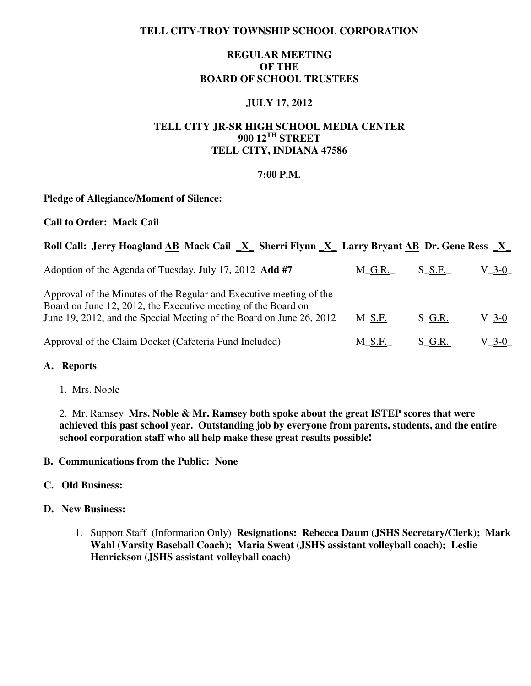## **TELL CITY-TROY TOWNSHIP SCHOOL CORPORATION**

# **REGULAR MEETING OF THE BOARD OF SCHOOL TRUSTEES**

## **JULY 17, 2012**

# **TELL CITY JR-SR HIGH SCHOOL MEDIA CENTER 900 12TH STREET TELL CITY, INDIANA 47586**

### **7:00 P.M.**

### **Pledge of Allegiance/Moment of Silence:**

#### **Call to Order: Mack Cail**

## **Roll Call: Jerry Hoagland AB Mack Cail \_X\_ Sherri Flynn \_X\_ Larry Bryant AB Dr. Gene Ress \_X\_**

| Adoption of the Agenda of Tuesday, July 17, 2012 Add #7                                                                                                                                                      | $M_G.R.$  | $S$ $S.F.$ | V_3-0_ |
|--------------------------------------------------------------------------------------------------------------------------------------------------------------------------------------------------------------|-----------|------------|--------|
| Approval of the Minutes of the Regular and Executive meeting of the<br>Board on June 12, 2012, the Executive meeting of the Board on<br>June 19, 2012, and the Special Meeting of the Board on June 26, 2012 | M S.F.    | S G.R.     | V 3-0  |
| Approval of the Claim Docket (Cafeteria Fund Included)                                                                                                                                                       | $M\_S.F.$ | S G.R.     | V_3-0_ |

### **A. Reports**

1. Mrs. Noble

 2. Mr. Ramsey **Mrs. Noble & Mr. Ramsey both spoke about the great ISTEP scores that were achieved this past school year. Outstanding job by everyone from parents, students, and the entire school corporation staff who all help make these great results possible!** 

### **B. Communications from the Public: None**

### **C. Old Business:**

#### **D. New Business:**

1. Support Staff (Information Only) **Resignations: Rebecca Daum (JSHS Secretary/Clerk); Mark Wahl (Varsity Baseball Coach); Maria Sweat (JSHS assistant volleyball coach); Leslie Henrickson (JSHS assistant volleyball coach)**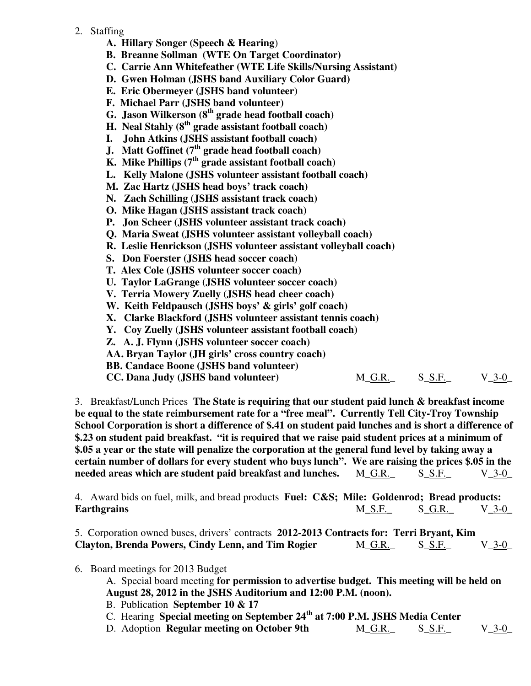- 2. Staffing
	- **A. Hillary Songer (Speech & Hearing**)
	- **B. Breanne Sollman (WTE On Target Coordinator)**
	- **C. Carrie Ann Whitefeather (WTE Life Skills/Nursing Assistant)**
	- **D. Gwen Holman (JSHS band Auxiliary Color Guard)**
	- **E. Eric Obermeyer (JSHS band volunteer)**
	- **F. Michael Parr (JSHS band volunteer)**
	- **G. Jason Wilkerson (8th grade head football coach)**
	- **H. Neal Stahly (8th grade assistant football coach)**
	- **I. John Atkins (JSHS assistant football coach)**
- **J. Matt Goffinet (7th grade head football coach)**
- **K. Mike Phillips (7th grade assistant football coach)** 
	- **L. Kelly Malone (JSHS volunteer assistant football coach)**
	- **M. Zac Hartz (JSHS head boys' track coach)**
	- **N. Zach Schilling (JSHS assistant track coach)**
	- **O. Mike Hagan (JSHS assistant track coach)**
	- **P. Jon Scheer (JSHS volunteer assistant track coach)**
	- **Q. Maria Sweat (JSHS volunteer assistant volleyball coach)**
	- **R. Leslie Henrickson (JSHS volunteer assistant volleyball coach)**
	- **S. Don Foerster (JSHS head soccer coach)**
	- **T. Alex Cole (JSHS volunteer soccer coach)**
	- **U. Taylor LaGrange (JSHS volunteer soccer coach)**
	- **V. Terria Mowery Zuelly (JSHS head cheer coach)**
	- **W. Keith Feldpausch (JSHS boys' & girls' golf coach)**
	- **X. Clarke Blackford (JSHS volunteer assistant tennis coach)**
	- **Y. Coy Zuelly (JSHS volunteer assistant football coach)**
	- **Z. A. J. Flynn (JSHS volunteer soccer coach)**
	- **AA. Bryan Taylor (JH girls' cross country coach)**
	- **BB. Candace Boone (JSHS band volunteer)**

| CC. Dana Judy (JSHS band volunteer) | M G.R. | S S.F. | $V_{.}$ 3-0 |
|-------------------------------------|--------|--------|-------------|
|-------------------------------------|--------|--------|-------------|

 3. Breakfast/Lunch Prices **The State is requiring that our student paid lunch & breakfast income be equal to the state reimbursement rate for a "free meal". Currently Tell City-Troy Township School Corporation is short a difference of \$.41 on student paid lunches and is short a difference of \$.23 on student paid breakfast. "it is required that we raise paid student prices at a minimum of \$.05 a year or the state will penalize the corporation at the general fund level by taking away a certain number of dollars for every student who buys lunch". We are raising the prices \$.05 in the needed areas which are student paid breakfast and lunches.** M\_G.R.\_ S\_S.F.\_ V\_3-0\_

 4. Award bids on fuel, milk, and bread products **Fuel: C&S; Mile: Goldenrod; Bread products: Earthgrains M\_S.F.** S\_G.R. V\_3-0\_

 5. Corporation owned buses, drivers' contracts **2012-2013 Contracts for: Terri Bryant, Kim Clayton, Brenda Powers, Cindy Lenn, and Tim Rogier** M\_G.R. S\_S.F. V\_3-0\_

6. Board meetings for 2013 Budget

 A. Special board meeting **for permission to advertise budget. This meeting will be held on August 28, 2012 in the JSHS Auditorium and 12:00 P.M. (noon).**

- B. Publication **September 10 & 17**
- C. Hearing **Special meeting on September 24th at 7:00 P.M. JSHS Media Center**
- D. Adoption **Regular meeting on October 9th** M\_G.R. S\_S.F. V\_3-0\_